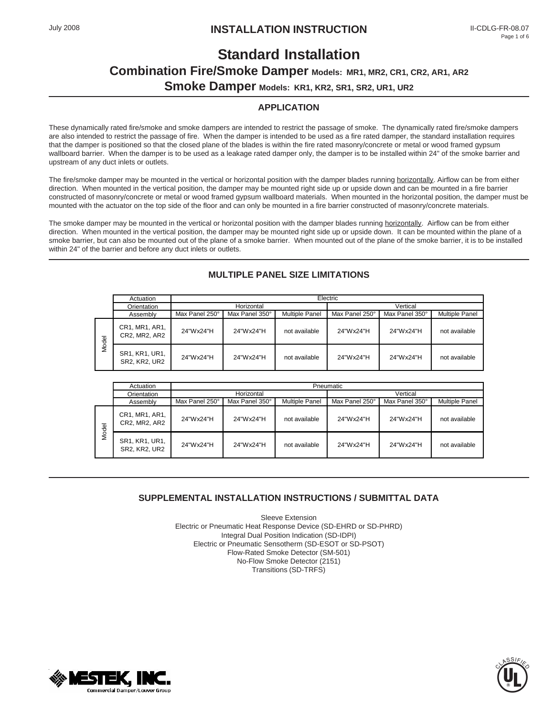# **Standard Installation Combination Fire/Smoke Damper Models: MR1, MR2, CR1, CR2, AR1, AR2 Smoke Damper Models: KR1, KR2, SR1, SR2, UR1, UR2**

# **APPLICATION**

These dynamically rated fire/smoke and smoke dampers are intended to restrict the passage of smoke. The dynamically rated fire/smoke dampers are also intended to restrict the passage of fire. When the damper is intended to be used as a fire rated damper, the standard installation requires that the damper is positioned so that the closed plane of the blades is within the fire rated masonry/concrete or metal or wood framed gypsum wallboard barrier. When the damper is to be used as a leakage rated damper only, the damper is to be installed within 24" of the smoke barrier and upstream of any duct inlets or outlets.

The fire/smoke damper may be mounted in the vertical or horizontal position with the damper blades running horizontally. Airflow can be from either direction. When mounted in the vertical position, the damper may be mounted right side up or upside down and can be mounted in a fire barrier constructed of masonry/concrete or metal or wood framed gypsum wallboard materials. When mounted in the horizontal position, the damper must be mounted with the actuator on the top side of the floor and can only be mounted in a fire barrier constructed of masonry/concrete materials.

The smoke damper may be mounted in the vertical or horizontal position with the damper blades running horizontally. Airflow can be from either direction. When mounted in the vertical position, the damper may be mounted right side up or upside down. It can be mounted within the plane of a smoke barrier, but can also be mounted out of the plane of a smoke barrier. When mounted out of the plane of the smoke barrier, it is to be installed within 24" of the barrier and before any duct inlets or outlets.

|       | Actuation                       | Electric       |                |                       |                |                |                       |
|-------|---------------------------------|----------------|----------------|-----------------------|----------------|----------------|-----------------------|
|       | Orientation                     | Horizontal     |                |                       | Vertical       |                |                       |
|       | Assembly                        | Max Panel 250° | Max Panel 350° | <b>Multiple Panel</b> | Max Panel 250° | Max Panel 350° | <b>Multiple Panel</b> |
| Model | CR1, MR1, AR1,<br>CR2, MR2, AR2 | 24"Wx24"H      | 24"Wx24"H      | not available         | 24"Wx24"H      | 24"Wx24"H      | not available         |
|       | SR1, KR1, UR1,<br>SR2, KR2, UR2 | 24"Wx24"H      | 24"Wx24"H      | not available         | 24"Wx24"H      | 24"Wx24"H      | not available         |

# **MULTIPLE PANEL SIZE LIMITATIONS**

|       | Actuation                              | Pneumatic      |                |                       |                |                |                       |
|-------|----------------------------------------|----------------|----------------|-----------------------|----------------|----------------|-----------------------|
|       | Orientation                            | Horizontal     |                |                       | Vertical       |                |                       |
|       | Assembly                               | Max Panel 250° | Max Panel 350° | <b>Multiple Panel</b> | Max Panel 250° | Max Panel 350° | <b>Multiple Panel</b> |
| Model | CR1, MR1, AR1,<br>CR2, MR2, AR2        | 24"Wx24"H      | 24"Wx24"H      | not available         | 24"Wx24"H      | 24"Wx24"H      | not available         |
|       | SR1, KR1, UR1,<br><b>SR2. KR2. UR2</b> | 24"Wx24"H      | 24"Wx24"H      | not available         | 24"Wx24"H      | 24"Wx24"H      | not available         |

# **SUPPLEMENTAL INSTALLATION INSTRUCTIONS / SUBMITTAL DATA**

Sleeve Extension Electric or Pneumatic Heat Response Device (SD-EHRD or SD-PHRD) Integral Dual Position Indication (SD-IDPI) Electric or Pneumatic Sensotherm (SD-ESOT or SD-PSOT) Flow-Rated Smoke Detector (SM-501) No-Flow Smoke Detector (2151) Transitions (SD-TRFS)



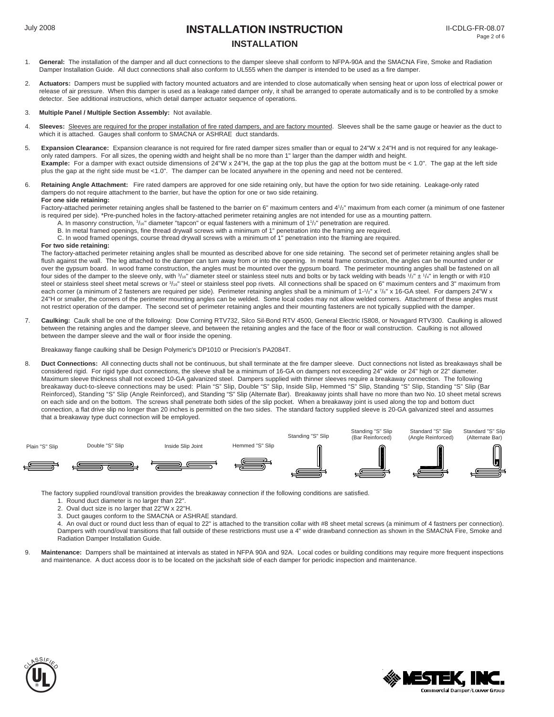# July 2008 **INSTALLATION INSTRUCTION INSTALLATION**

- 1. **General:** The installation of the damper and all duct connections to the damper sleeve shall conform to NFPA-90A and the SMACNA Fire, Smoke and Radiation Damper Installation Guide. All duct connections shall also conform to UL555 when the damper is intended to be used as a fire damper.
- 2. **Actuators:** Dampers must be supplied with factory mounted actuators and are intended to close automatically when sensing heat or upon loss of electrical power or release of air pressure. When this damper is used as a leakage rated damper only, it shall be arranged to operate automatically and is to be controlled by a smoke detector. See additional instructions, which detail damper actuator sequence of operations.

#### 3. **Multiple Panel / Multiple Section Assembly:** Not available.

- 4. **Sleeves:** Sleeves are required for the proper installation of fire rated dampers, and are factory mounted. Sleeves shall be the same gauge or heavier as the duct to which it is attached. Gauges shall conform to SMACNA or ASHRAE duct standards.
- 5. **Expansion Clearance:** Expansion clearance is not required for fire rated damper sizes smaller than or equal to 24"W x 24"H and is not required for any leakageonly rated dampers. For all sizes, the opening width and height shall be no more than 1" larger than the damper width and height. **Example:** For a damper with exact outside dimensions of 24"W x 24"H, the gap at the top plus the gap at the bottom must be < 1.0". The gap at the left side plus the gap at the right side must be <1.0". The damper can be located anywhere in the opening and need not be centered.
- 6. **Retaining Angle Attachment:** Fire rated dampers are approved for one side retaining only, but have the option for two side retaining. Leakage-only rated dampers do not require attachment to the barrier, but have the option for one or two side retaining. **For one side retaining:**

Factory-attached perimeter retaining angles shall be fastened to the barrier on 6" maximum centers and 41/2" maximum from each corner (a minimum of one fastener is required per side). \*Pre-punched holes in the factory-attached perimeter retaining angles are not intended for use as a mounting pattern.

- A. In masonry construction, 3/16" diameter "tapcon" or equal fasteners with a minimum of 11/2" penetration are required.
- B. In metal framed openings, fine thread drywall screws with a minimum of 1" penetration into the framing are required.

C. In wood framed openings, course thread drywall screws with a minimum of 1" penetration into the framing are required.

#### **For two side retaining:**

The factory-attached perimeter retaining angles shall be mounted as described above for one side retaining. The second set of perimeter retaining angles shall be flush against the wall. The leg attached to the damper can turn away from or into the opening. In metal frame construction, the angles can be mounted under or over the gypsum board. In wood frame construction, the angles must be mounted over the gypsum board. The perimeter mounting angles shall be fastened on all four sides of the damper to the sleeve only, with  $\frac{3}{16}$ " diameter steel or stainless steel nuts and bolts or by tack welding with beads  $\frac{1}{2}$ " ±  $\frac{1}{4}$ " in length or with #10 steel or stainless steel sheet metal screws or  $\frac{3}{16}$ " steel or stainless steel pop rivets. All connections shall be spaced on 6" maximum centers and 3" maximum from each corner (a minimum of 2 fasteners are required per side). Perimeter retaining angles shall be a minimum of 1-1/2" x 7/8" x 16-GA steel. For dampers 24"W x 24"H or smaller, the corners of the perimeter mounting angles can be welded. Some local codes may not allow welded corners. Attachment of these angles must not restrict operation of the damper. The second set of perimeter retaining angles and their mounting fasteners are not typically supplied with the damper.

7. **Caulking:** Caulk shall be one of the following: Dow Corning RTV732, Silco Sil-Bond RTV 4500, General Electric IS808, or Novagard RTV300. Caulking is allowed between the retaining angles and the damper sleeve, and between the retaining angles and the face of the floor or wall construction. Caulking is not allowed between the damper sleeve and the wall or floor inside the opening.

Breakaway flange caulking shall be Design Polymeric's DP1010 or Precision's PA2084T.

8. **Duct Connections:** All connecting ducts shall not be continuous, but shall terminate at the fire damper sleeve. Duct connections not listed as breakaways shall be considered rigid. For rigid type duct connections, the sleeve shall be a minimum of 16-GA on dampers not exceeding 24" wide or 24" high or 22" diameter. Maximum sleeve thickness shall not exceed 10-GA galvanized steel. Dampers supplied with thinner sleeves require a breakaway connection. The following breakaway duct-to-sleeve connections may be used: Plain "S" Slip, Double "S" Slip, Inside Slip, Hemmed "S" Slip, Standing "S" Slip, Standing "S" Slip (Bar Reinforced), Standing "S" Slip (Angle Reinforced), and Standing "S" Slip (Alternate Bar). Breakaway joints shall have no more than two No. 10 sheet metal screws on each side and on the bottom. The screws shall penetrate both sides of the slip pocket. When a breakaway joint is used along the top and bottom duct connection, a flat drive slip no longer than 20 inches is permitted on the two sides. The standard factory supplied sleeve is 20-GA galvanized steel and assumes that a breakaway type duct connection will be employed.



The factory supplied round/oval transition provides the breakaway connection if the following conditions are satisfied.

- 1. Round duct diameter is no larger than 22".
- 2. Oval duct size is no larger that 22"W x 22"H.
- 3. Duct gauges conform to the SMACNA or ASHRAE standard.

4. An oval duct or round duct less than of equal to 22" is attached to the transition collar with #8 sheet metal screws (a minimum of 4 fastners per connection). Dampers with round/oval transitions that fall outside of these restrictions must use a 4" wide drawband connection as shown in the SMACNA Fire, Smoke and Radiation Damper Installation Guide.

9. **Maintenance:** Dampers shall be maintained at intervals as stated in NFPA 90A and 92A. Local codes or building conditions may require more frequent inspections and maintenance. A duct access door is to be located on the jackshaft side of each damper for periodic inspection and maintenance.



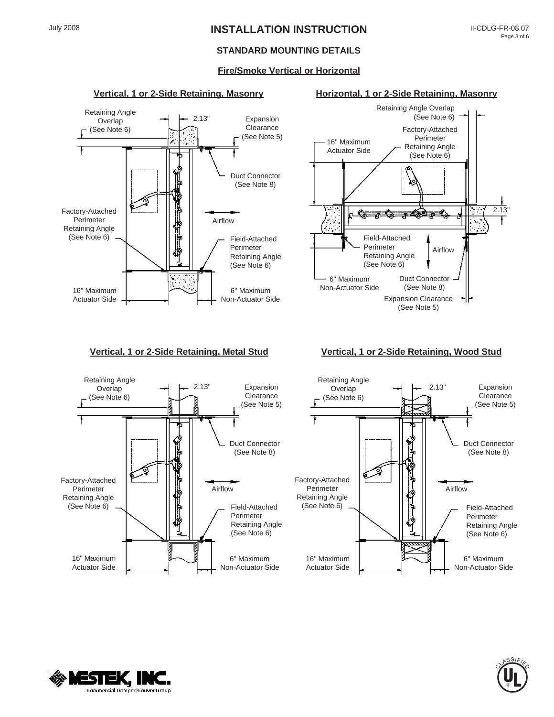# July 2008 **INSTALLATION INSTRUCTION**

### **STANDARD MOUNTING DETAILS**

### **Fire/Smoke Vertical or Horizontal**







#### **Vertical, 1 or 2-Side Retaining, Metal Stud Vertical, 1 or 2-Side Retaining, Wood Stud**





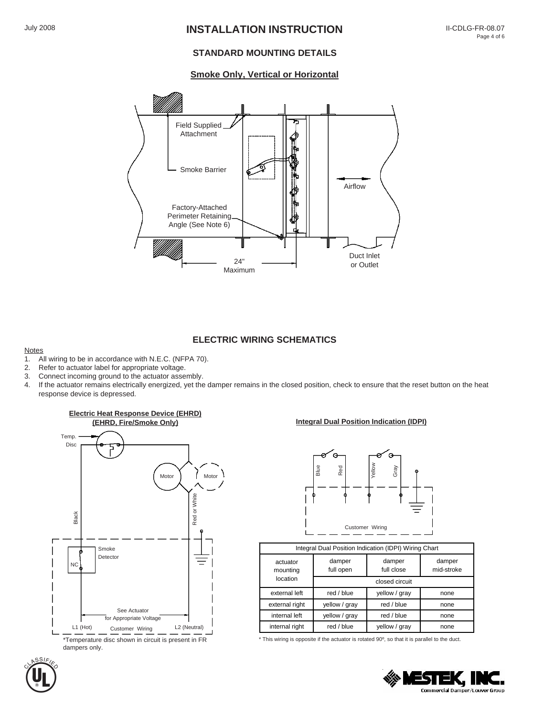# July 2008 **INSTALLATION INSTRUCTION**

### **STANDARD MOUNTING DETAILS**

#### **Smoke Only, Vertical or Horizontal**



#### **ELECTRIC WIRING SCHEMATICS**

#### **Notes**

- 1. All wiring to be in accordance with N.E.C. (NFPA 70).<br>2. Refer to actuator label for appropriate voltage.
- Refer to actuator label for appropriate voltage.
- 3. Connect incoming ground to the actuator assembly.
- 4. If the actuator remains electrically energized, yet the damper remains in the closed position, check to ensure that the reset button on the heat response device is depressed.



# **Integral Dual Position Indication (IDPI)**



| Integral Dual Position Indication (IDPI) Wiring Chart |                             |                      |                      |  |  |  |
|-------------------------------------------------------|-----------------------------|----------------------|----------------------|--|--|--|
| actuator<br>mounting                                  | damper<br>full open         | damper<br>full close | damper<br>mid-stroke |  |  |  |
| location                                              | closed circuit              |                      |                      |  |  |  |
| external left                                         | yellow / gray<br>red / blue |                      | none                 |  |  |  |
| external right                                        | yellow / gray               | red / blue           | none                 |  |  |  |
| internal left                                         | yellow / gray               | red / blue           | none                 |  |  |  |
| internal right                                        | red / blue                  | yellow / gray        | none                 |  |  |  |

\* This wiring is opposite if the actuator is rotated 90º, so that it is parallel to the duct.



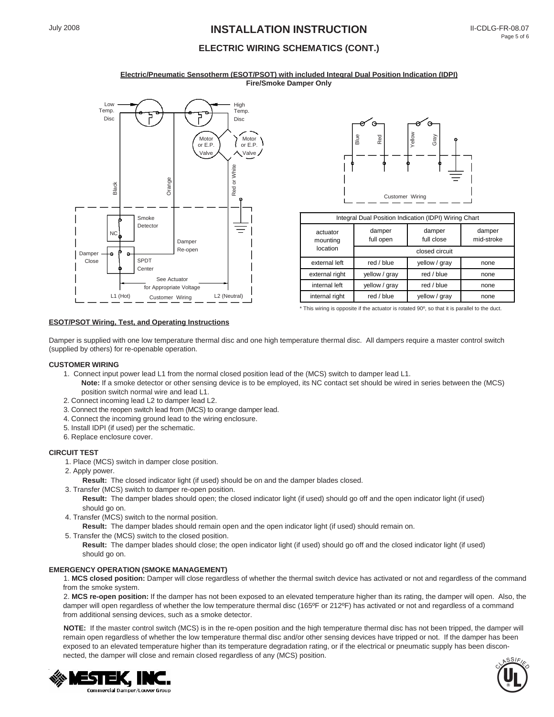# July 2008 **INSTALLATION INSTRUCTION**

## **ELECTRIC WIRING SCHEMATICS (CONT.)**

#### **Electric/Pneumatic Sensotherm (ESOT/PSOT) with included Integral Dual Position Indication (IDPI) Fire/Smoke Damper Only**





| Integral Dual Position Indication (IDPI) Wiring Chart |                                             |               |                      |  |  |
|-------------------------------------------------------|---------------------------------------------|---------------|----------------------|--|--|
| actuator<br>mounting                                  | damper<br>damper<br>full close<br>full open |               | damper<br>mid-stroke |  |  |
| location                                              | closed circuit                              |               |                      |  |  |
| external left                                         | red / blue                                  | yellow / gray | none                 |  |  |
| external right                                        | yellow / gray                               | red / blue    | none                 |  |  |
| internal left                                         | yellow / gray                               | red / blue    | none                 |  |  |
| internal right                                        | red / blue                                  | yellow / gray | none                 |  |  |

#### $*$  This wiring is opposite if the actuator is rotated  $90^\circ$ , so that it is parallel to the duct.

#### **ESOT/PSOT Wiring, Test, and Operating Instructions**

Damper is supplied with one low temperature thermal disc and one high temperature thermal disc. All dampers require a master control switch (supplied by others) for re-openable operation.

#### **CUSTOMER WIRING**

- 1. Connect input power lead L1 from the normal closed position lead of the (MCS) switch to damper lead L1.
- **Note:** If a smoke detector or other sensing device is to be employed, its NC contact set should be wired in series between the (MCS) position switch normal wire and lead L1.
- 2. Connect incoming lead L2 to damper lead L2.
- 3. Connect the reopen switch lead from (MCS) to orange damper lead.
- 4. Connect the incoming ground lead to the wiring enclosure.
- 5. Install IDPI (if used) per the schematic.
- 6. Replace enclosure cover.

#### **CIRCUIT TEST**

1. Place (MCS) switch in damper close position.

#### 2. Apply power.

**Result:** The closed indicator light (if used) should be on and the damper blades closed.

- 3. Transfer (MCS) switch to damper re-open position.
	- **Result:** The damper blades should open; the closed indicator light (if used) should go off and the open indicator light (if used) should go on.
- 4. Transfer (MCS) switch to the normal position.

**Result:** The damper blades should remain open and the open indicator light (if used) should remain on.

5. Transfer the (MCS) switch to the closed position.

**Result:** The damper blades should close; the open indicator light (if used) should go off and the closed indicator light (if used) should go on.

#### **EMERGENCY OPERATION (SMOKE MANAGEMENT)**

1. **MCS closed position:** Damper will close regardless of whether the thermal switch device has activated or not and regardless of the command from the smoke system.

2. **MCS re-open position:** If the damper has not been exposed to an elevated temperature higher than its rating, the damper will open. Also, the damper will open regardless of whether the low temperature thermal disc (165ºF or 212ºF) has activated or not and regardless of a command from additional sensing devices, such as a smoke detector.

**NOTE:** If the master control switch (MCS) is in the re-open position and the high temperature thermal disc has not been tripped, the damper will remain open regardless of whether the low temperature thermal disc and/or other sensing devices have tripped or not. If the damper has been exposed to an elevated temperature higher than its temperature degradation rating, or if the electrical or pneumatic supply has been disconnected, the damper will close and remain closed regardless of any (MCS) position.